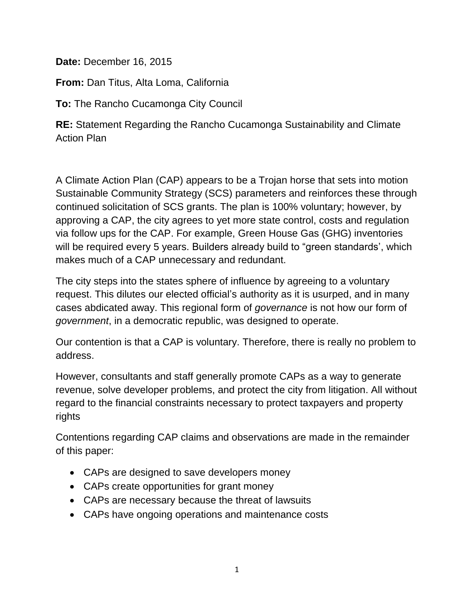**Date:** December 16, 2015

**From:** Dan Titus, Alta Loma, California

**To:** The Rancho Cucamonga City Council

**RE:** Statement Regarding the Rancho Cucamonga Sustainability and Climate Action Plan

A Climate Action Plan (CAP) appears to be a Trojan horse that sets into motion Sustainable Community Strategy (SCS) parameters and reinforces these through continued solicitation of SCS grants. The plan is 100% voluntary; however, by approving a CAP, the city agrees to yet more state control, costs and regulation via follow ups for the CAP. For example, Green House Gas (GHG) inventories will be required every 5 years. Builders already build to "green standards', which makes much of a CAP unnecessary and redundant.

The city steps into the states sphere of influence by agreeing to a voluntary request. This dilutes our elected official's authority as it is usurped, and in many cases abdicated away. This regional form of *governance* is not how our form of *government*, in a democratic republic, was designed to operate.

Our contention is that a CAP is voluntary. Therefore, there is really no problem to address.

However, consultants and staff generally promote CAPs as a way to generate revenue, solve developer problems, and protect the city from litigation. All without regard to the financial constraints necessary to protect taxpayers and property rights

Contentions regarding CAP claims and observations are made in the remainder of this paper:

- CAPs are designed to save developers money
- CAPs create opportunities for grant money
- CAPs are necessary because the threat of lawsuits
- CAPs have ongoing operations and maintenance costs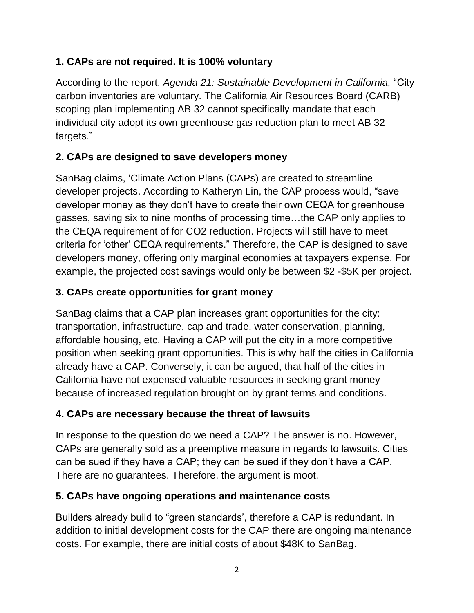#### **1. CAPs are not required. It is 100% voluntary**

According to the report, *Agenda 21: Sustainable Development in California,* "City carbon inventories are voluntary. The California Air Resources Board (CARB) scoping plan implementing AB 32 cannot specifically mandate that each individual city adopt its own greenhouse gas reduction plan to meet AB 32 targets."

# **2. CAPs are designed to save developers money**

SanBag claims, 'Climate Action Plans (CAPs) are created to streamline developer projects. According to Katheryn Lin, the CAP process would, "save developer money as they don't have to create their own CEQA for greenhouse gasses, saving six to nine months of processing time…the CAP only applies to the CEQA requirement of for CO2 reduction. Projects will still have to meet criteria for 'other' CEQA requirements." Therefore, the CAP is designed to save developers money, offering only marginal economies at taxpayers expense. For example, the projected cost savings would only be between \$2 -\$5K per project.

## **3. CAPs create opportunities for grant money**

SanBag claims that a CAP plan increases grant opportunities for the city: transportation, infrastructure, cap and trade, water conservation, planning, affordable housing, etc. Having a CAP will put the city in a more competitive position when seeking grant opportunities. This is why half the cities in California already have a CAP. Conversely, it can be argued, that half of the cities in California have not expensed valuable resources in seeking grant money because of increased regulation brought on by grant terms and conditions.

## **4. CAPs are necessary because the threat of lawsuits**

In response to the question do we need a CAP? The answer is no. However, CAPs are generally sold as a preemptive measure in regards to lawsuits. Cities can be sued if they have a CAP; they can be sued if they don't have a CAP. There are no guarantees. Therefore, the argument is moot.

## **5. CAPs have ongoing operations and maintenance costs**

Builders already build to "green standards', therefore a CAP is redundant. In addition to initial development costs for the CAP there are ongoing maintenance costs. For example, there are initial costs of about \$48K to SanBag.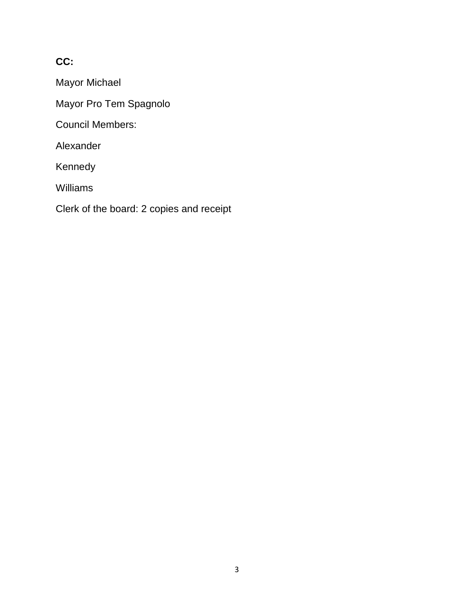#### **CC:**

Mayor Michael

Mayor Pro Tem Spagnolo

Council Members:

Alexander

Kennedy

Williams

Clerk of the board: 2 copies and receipt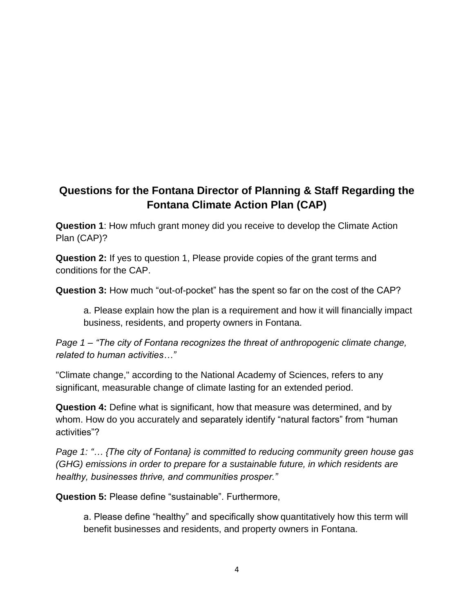# **Questions for the Fontana Director of Planning & Staff Regarding the Fontana Climate Action Plan (CAP)**

**Question 1**: How mfuch grant money did you receive to develop the Climate Action Plan (CAP)?

**Question 2:** If yes to question 1, Please provide copies of the grant terms and conditions for the CAP.

**Question 3:** How much "out-of-pocket" has the spent so far on the cost of the CAP?

a. Please explain how the plan is a requirement and how it will financially impact business, residents, and property owners in Fontana.

*Page 1 – "The city of Fontana recognizes the threat of anthropogenic climate change, related to human activities…"* 

"Climate change," according to the National Academy of Sciences, refers to any significant, measurable change of climate lasting for an extended period.

**Question 4:** Define what is significant, how that measure was determined, and by whom. How do you accurately and separately identify "natural factors" from "human activities"?

*Page 1: "… {The city of Fontana} is committed to reducing community green house gas (GHG) emissions in order to prepare for a sustainable future, in which residents are healthy, businesses thrive, and communities prosper."*

**Question 5:** Please define "sustainable". Furthermore,

a. Please define "healthy" and specifically show quantitatively how this term will benefit businesses and residents, and property owners in Fontana.